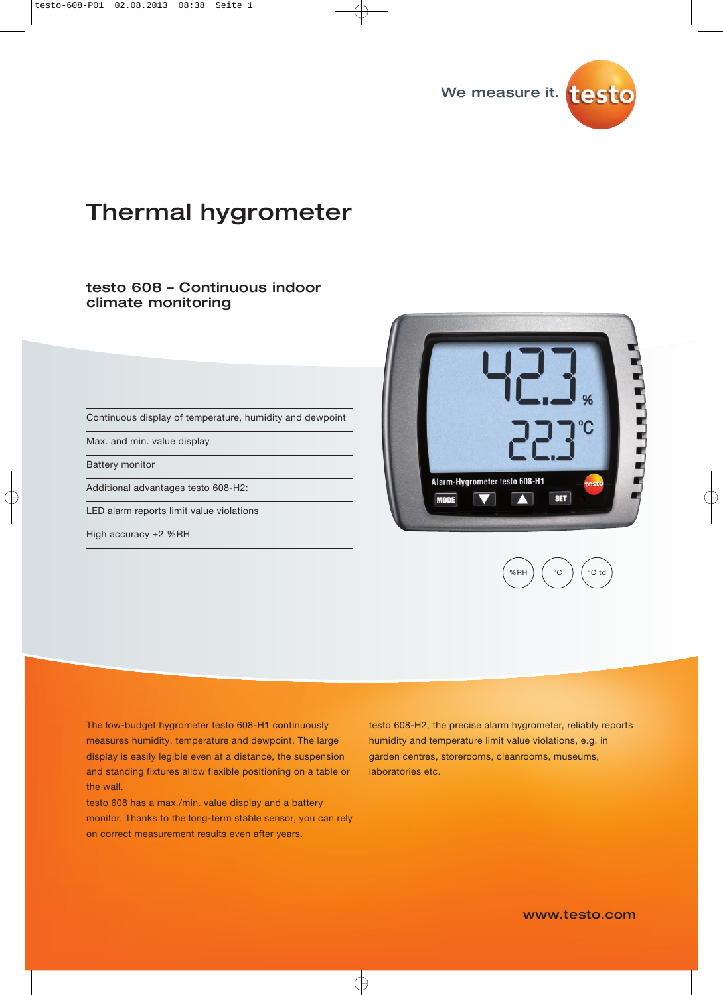

# Thermal hygrometer

### testo 608 – Continuous indoor climate monitoring

Continuous display of temperature, humidity and dewpoint

Max. and min. value display

Battery monitor

Additional advantages testo 608-H2:

LED alarm reports limit value violations

High accuracy ±2 %RH





The low-budget hygrometer testo 608-H1 continuously measures humidity, temperature and dewpoint. The large display is easily legible even at a distance, the suspension and standing fixtures allow flexible positioning on a table or the wall.

testo 608 has a max./min. value display and a battery monitor. Thanks to the long-term stable sensor, you can rely on correct measurement results even after years.

testo 608-H2, the precise alarm hygrometer, reliably reports humidity and temperature limit value violations, e.g. in garden centres, storerooms, cleanrooms, museums, laboratories etc.

www.testo.com